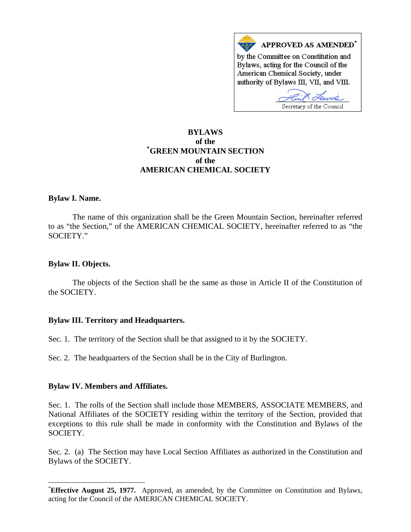

# **BYLAWS of the [\\*](#page-0-0) GREEN MOUNTAIN SECTION of the AMERICAN CHEMICAL SOCIETY**

## **Bylaw I. Name.**

 The name of this organization shall be the Green Mountain Section, hereinafter referred to as "the Section," of the AMERICAN CHEMICAL SOCIETY, hereinafter referred to as "the SOCIETY."

## **Bylaw II. Objects.**

 $\overline{a}$ 

 The objects of the Section shall be the same as those in Article II of the Constitution of the SOCIETY.

## **Bylaw III. Territory and Headquarters.**

Sec. 1. The territory of the Section shall be that assigned to it by the SOCIETY.

Sec. 2. The headquarters of the Section shall be in the City of Burlington.

#### **Bylaw IV. Members and Affiliates.**

Sec. 1. The rolls of the Section shall include those MEMBERS, ASSOCIATE MEMBERS, and National Affiliates of the SOCIETY residing within the territory of the Section, provided that exceptions to this rule shall be made in conformity with the Constitution and Bylaws of the SOCIETY.

Sec. 2. (a) The Section may have Local Section Affiliates as authorized in the Constitution and Bylaws of the SOCIETY.

<span id="page-0-0"></span><sup>\*</sup> **Effective August 25, 1977.** Approved, as amended, by the Committee on Constitution and Bylaws, acting for the Council of the AMERICAN CHEMICAL SOCIETY.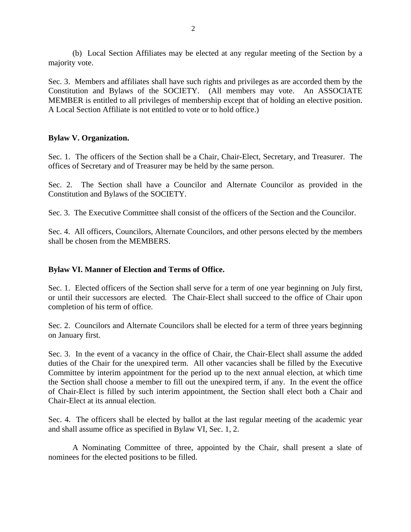(b) Local Section Affiliates may be elected at any regular meeting of the Section by a majority vote.

Sec. 3. Members and affiliates shall have such rights and privileges as are accorded them by the Constitution and Bylaws of the SOCIETY. (All members may vote. An ASSOCIATE MEMBER is entitled to all privileges of membership except that of holding an elective position. A Local Section Affiliate is not entitled to vote or to hold office.)

## **Bylaw V. Organization.**

Sec. 1. The officers of the Section shall be a Chair, Chair-Elect, Secretary, and Treasurer. The offices of Secretary and of Treasurer may be held by the same person.

Sec. 2. The Section shall have a Councilor and Alternate Councilor as provided in the Constitution and Bylaws of the SOCIETY.

Sec. 3. The Executive Committee shall consist of the officers of the Section and the Councilor.

Sec. 4. All officers, Councilors, Alternate Councilors, and other persons elected by the members shall be chosen from the MEMBERS.

## **Bylaw VI. Manner of Election and Terms of Office.**

Sec. 1. Elected officers of the Section shall serve for a term of one year beginning on July first, or until their successors are elected. The Chair-Elect shall succeed to the office of Chair upon completion of his term of office.

Sec. 2. Councilors and Alternate Councilors shall be elected for a term of three years beginning on January first.

Sec. 3. In the event of a vacancy in the office of Chair, the Chair-Elect shall assume the added duties of the Chair for the unexpired term. All other vacancies shall be filled by the Executive Committee by interim appointment for the period up to the next annual election, at which time the Section shall choose a member to fill out the unexpired term, if any. In the event the office of Chair-Elect is filled by such interim appointment, the Section shall elect both a Chair and Chair-Elect at its annual election.

Sec. 4. The officers shall be elected by ballot at the last regular meeting of the academic year and shall assume office as specified in Bylaw VI, Sec. 1, 2.

 A Nominating Committee of three, appointed by the Chair, shall present a slate of nominees for the elected positions to be filled.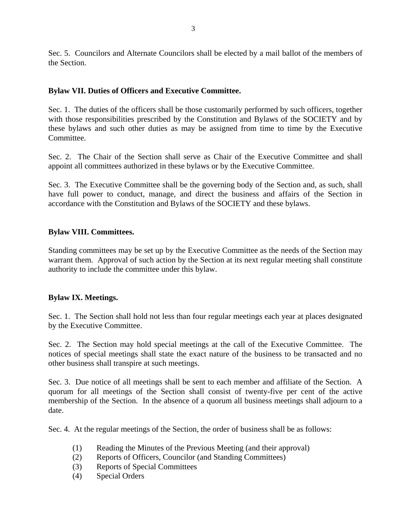Sec. 5. Councilors and Alternate Councilors shall be elected by a mail ballot of the members of the Section.

# **Bylaw VII. Duties of Officers and Executive Committee.**

Sec. 1. The duties of the officers shall be those customarily performed by such officers, together with those responsibilities prescribed by the Constitution and Bylaws of the SOCIETY and by these bylaws and such other duties as may be assigned from time to time by the Executive Committee.

Sec. 2. The Chair of the Section shall serve as Chair of the Executive Committee and shall appoint all committees authorized in these bylaws or by the Executive Committee.

Sec. 3. The Executive Committee shall be the governing body of the Section and, as such, shall have full power to conduct, manage, and direct the business and affairs of the Section in accordance with the Constitution and Bylaws of the SOCIETY and these bylaws.

## **Bylaw VIII. Committees.**

Standing committees may be set up by the Executive Committee as the needs of the Section may warrant them. Approval of such action by the Section at its next regular meeting shall constitute authority to include the committee under this bylaw.

## **Bylaw IX. Meetings.**

Sec. 1. The Section shall hold not less than four regular meetings each year at places designated by the Executive Committee.

Sec. 2. The Section may hold special meetings at the call of the Executive Committee. The notices of special meetings shall state the exact nature of the business to be transacted and no other business shall transpire at such meetings.

Sec. 3. Due notice of all meetings shall be sent to each member and affiliate of the Section. A quorum for all meetings of the Section shall consist of twenty-five per cent of the active membership of the Section. In the absence of a quorum all business meetings shall adjourn to a date.

Sec. 4. At the regular meetings of the Section, the order of business shall be as follows:

- (1) Reading the Minutes of the Previous Meeting (and their approval)
- (2) Reports of Officers, Councilor (and Standing Committees)
- (3) Reports of Special Committees
- (4) Special Orders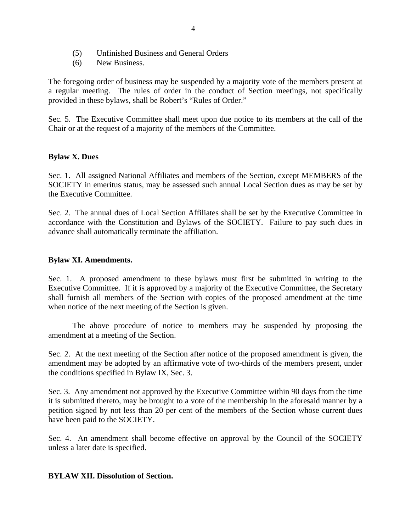- (5) Unfinished Business and General Orders
- (6) New Business.

The foregoing order of business may be suspended by a majority vote of the members present at a regular meeting. The rules of order in the conduct of Section meetings, not specifically provided in these bylaws, shall be Robert's "Rules of Order."

Sec. 5. The Executive Committee shall meet upon due notice to its members at the call of the Chair or at the request of a majority of the members of the Committee.

## **Bylaw X. Dues**

Sec. 1. All assigned National Affiliates and members of the Section, except MEMBERS of the SOCIETY in emeritus status, may be assessed such annual Local Section dues as may be set by the Executive Committee.

Sec. 2. The annual dues of Local Section Affiliates shall be set by the Executive Committee in accordance with the Constitution and Bylaws of the SOCIETY. Failure to pay such dues in advance shall automatically terminate the affiliation.

## **Bylaw XI. Amendments.**

Sec. 1. A proposed amendment to these bylaws must first be submitted in writing to the Executive Committee. If it is approved by a majority of the Executive Committee, the Secretary shall furnish all members of the Section with copies of the proposed amendment at the time when notice of the next meeting of the Section is given.

 The above procedure of notice to members may be suspended by proposing the amendment at a meeting of the Section.

Sec. 2. At the next meeting of the Section after notice of the proposed amendment is given, the amendment may be adopted by an affirmative vote of two-thirds of the members present, under the conditions specified in Bylaw IX, Sec. 3.

Sec. 3. Any amendment not approved by the Executive Committee within 90 days from the time it is submitted thereto, may be brought to a vote of the membership in the aforesaid manner by a petition signed by not less than 20 per cent of the members of the Section whose current dues have been paid to the SOCIETY.

Sec. 4. An amendment shall become effective on approval by the Council of the SOCIETY unless a later date is specified.

#### **BYLAW XII. Dissolution of Section.**